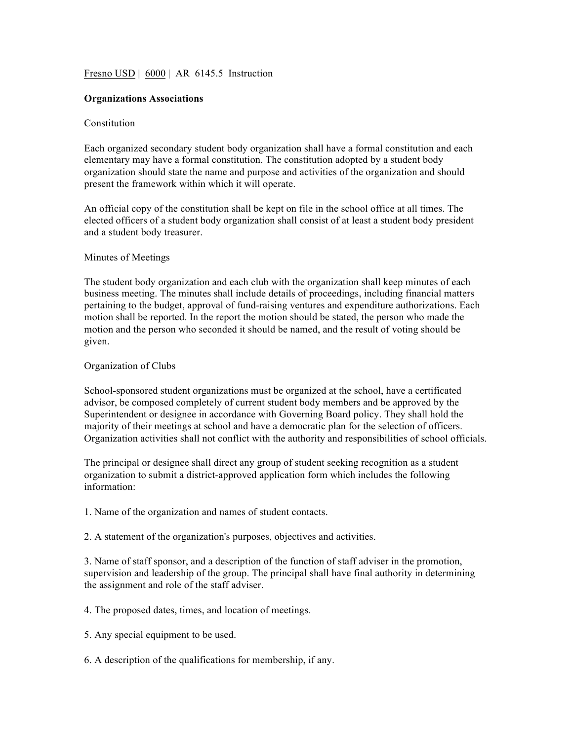# Fresno USD | 6000 | AR 6145.5 Instruction

### **Organizations Associations**

#### Constitution

Each organized secondary student body organization shall have a formal constitution and each elementary may have a formal constitution. The constitution adopted by a student body organization should state the name and purpose and activities of the organization and should present the framework within which it will operate.

An official copy of the constitution shall be kept on file in the school office at all times. The elected officers of a student body organization shall consist of at least a student body president and a student body treasurer.

### Minutes of Meetings

The student body organization and each club with the organization shall keep minutes of each business meeting. The minutes shall include details of proceedings, including financial matters pertaining to the budget, approval of fund-raising ventures and expenditure authorizations. Each motion shall be reported. In the report the motion should be stated, the person who made the motion and the person who seconded it should be named, and the result of voting should be given.

#### Organization of Clubs

School-sponsored student organizations must be organized at the school, have a certificated advisor, be composed completely of current student body members and be approved by the Superintendent or designee in accordance with Governing Board policy. They shall hold the majority of their meetings at school and have a democratic plan for the selection of officers. Organization activities shall not conflict with the authority and responsibilities of school officials.

The principal or designee shall direct any group of student seeking recognition as a student organization to submit a district-approved application form which includes the following information:

- 1. Name of the organization and names of student contacts.
- 2. A statement of the organization's purposes, objectives and activities.

3. Name of staff sponsor, and a description of the function of staff adviser in the promotion, supervision and leadership of the group. The principal shall have final authority in determining the assignment and role of the staff adviser.

- 4. The proposed dates, times, and location of meetings.
- 5. Any special equipment to be used.
- 6. A description of the qualifications for membership, if any.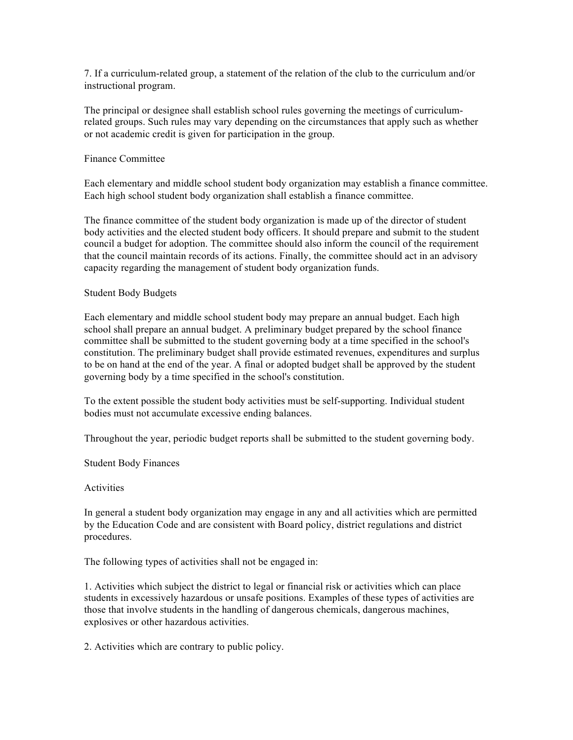7. If a curriculum-related group, a statement of the relation of the club to the curriculum and/or instructional program.

The principal or designee shall establish school rules governing the meetings of curriculumrelated groups. Such rules may vary depending on the circumstances that apply such as whether or not academic credit is given for participation in the group.

### Finance Committee

Each elementary and middle school student body organization may establish a finance committee. Each high school student body organization shall establish a finance committee.

The finance committee of the student body organization is made up of the director of student body activities and the elected student body officers. It should prepare and submit to the student council a budget for adoption. The committee should also inform the council of the requirement that the council maintain records of its actions. Finally, the committee should act in an advisory capacity regarding the management of student body organization funds.

# Student Body Budgets

Each elementary and middle school student body may prepare an annual budget. Each high school shall prepare an annual budget. A preliminary budget prepared by the school finance committee shall be submitted to the student governing body at a time specified in the school's constitution. The preliminary budget shall provide estimated revenues, expenditures and surplus to be on hand at the end of the year. A final or adopted budget shall be approved by the student governing body by a time specified in the school's constitution.

To the extent possible the student body activities must be self-supporting. Individual student bodies must not accumulate excessive ending balances.

Throughout the year, periodic budget reports shall be submitted to the student governing body.

Student Body Finances

#### Activities

In general a student body organization may engage in any and all activities which are permitted by the Education Code and are consistent with Board policy, district regulations and district procedures.

The following types of activities shall not be engaged in:

1. Activities which subject the district to legal or financial risk or activities which can place students in excessively hazardous or unsafe positions. Examples of these types of activities are those that involve students in the handling of dangerous chemicals, dangerous machines, explosives or other hazardous activities.

2. Activities which are contrary to public policy.